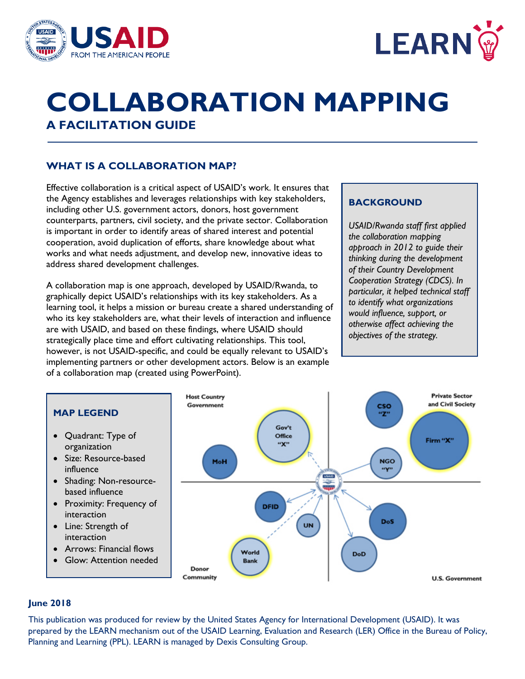



# **COLLABORATION MAPPING A FACILITATION GUIDE**

# **WHAT IS A COLLABORATION MAP?**

Effective collaboration is a critical aspect of USAID's work. It ensures that the Agency establishes and leverages relationships with key stakeholders, including other U.S. government actors, donors, host government counterparts, partners, civil society, and the private sector. Collaboration is important in order to identify areas of shared interest and potential cooperation, avoid duplication of efforts, share knowledge about what works and what needs adjustment, and develop new, innovative ideas to address shared development challenges.

A collaboration map is one approach, developed by USAID/Rwanda, to graphically depict USAID's relationships with its key stakeholders. As a learning tool, it helps a mission or bureau create a shared understanding of who its key stakeholders are, what their levels of interaction and influence are with USAID, and based on these findings, where USAID should strategically place time and effort cultivating relationships. This tool, however, is not USAID-specific, and could be equally relevant to USAID's implementing partners or other development actors. Below is an example of a collaboration map (created using PowerPoint).

#### **BACKGROUND**

*USAID/Rwanda staff first applied the collaboration mapping approach in 2012 to guide their thinking during the development of their Country Development Cooperation Strategy (CDCS). In particular, it helped technical staff to identify what organizations would influence, support, or otherwise affect achieving the objectives of the strategy.*



**U.S. Government** 

#### **June 2018**

This publication was produced for review by the United States Agency for International Development (USAID). It was prepared by the LEARN mechanism out of the USAID Learning, Evaluation and Research (LER) Office in the Bureau of Policy, Planning and Learning (PPL). LEARN is managed by Dexis Consulting Group.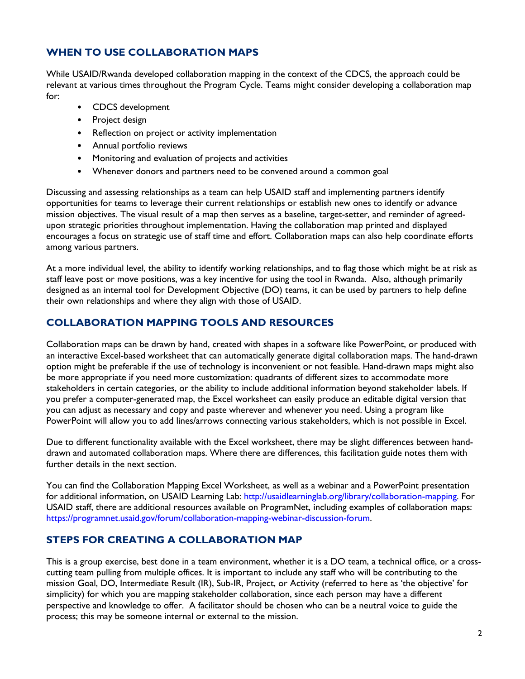# **WHEN TO USE COLLABORATION MAPS**

While USAID/Rwanda developed collaboration mapping in the context of the CDCS, the approach could be relevant at various times throughout the Program Cycle. Teams might consider developing a collaboration map for:

- CDCS development
- Project design
- Reflection on project or activity implementation
- Annual portfolio reviews
- Monitoring and evaluation of projects and activities
- Whenever donors and partners need to be convened around a common goal

Discussing and assessing relationships as a team can help USAID staff and implementing partners identify opportunities for teams to leverage their current relationships or establish new ones to identify or advance mission objectives. The visual result of a map then serves as a baseline, target-setter, and reminder of agreedupon strategic priorities throughout implementation. Having the collaboration map printed and displayed encourages a focus on strategic use of staff time and effort. Collaboration maps can also help coordinate efforts among various partners.

At a more individual level, the ability to identify working relationships, and to flag those which might be at risk as staff leave post or move positions, was a key incentive for using the tool in Rwanda. Also, although primarily designed as an internal tool for Development Objective (DO) teams, it can be used by partners to help define their own relationships and where they align with those of USAID.

## **COLLABORATION MAPPING TOOLS AND RESOURCES**

Collaboration maps can be drawn by hand, created with shapes in a software like PowerPoint, or produced with an interactive Excel-based worksheet that can automatically generate digital collaboration maps. The hand-drawn option might be preferable if the use of technology is inconvenient or not feasible. Hand-drawn maps might also be more appropriate if you need more customization: quadrants of different sizes to accommodate more stakeholders in certain categories, or the ability to include additional information beyond stakeholder labels. If you prefer a computer-generated map, the Excel worksheet can easily produce an editable digital version that you can adjust as necessary and copy and paste wherever and whenever you need. Using a program like PowerPoint will allow you to add lines/arrows connecting various stakeholders, which is not possible in Excel.

Due to different functionality available with the Excel worksheet, there may be slight differences between handdrawn and automated collaboration maps. Where there are differences, this facilitation guide notes them with further details in the next section.

You can find the Collaboration Mapping Excel Worksheet, as well as a webinar and a PowerPoint presentation for additional information, on USAID Learning Lab: [http://usaidlearninglab.org/library/collaboration-mapping.](http://usaidlearninglab.org/library/collaboration-mapping) For USAID staff, there are additional resources available on ProgramNet, including examples of collaboration maps: [https://programnet.usaid.gov/forum/collaboration-mapping-webinar-discussion-forum.](https://programnet.usaid.gov/forum/collaboration-mapping-webinar-discussion-forum) 

## **STEPS FOR CREATING A COLLABORATION MAP**

This is a group exercise, best done in a team environment, whether it is a DO team, a technical office, or a crosscutting team pulling from multiple offices. It is important to include any staff who will be contributing to the mission Goal, DO, Intermediate Result (IR), Sub-IR, Project, or Activity (referred to here as 'the objective' for simplicity) for which you are mapping stakeholder collaboration, since each person may have a different perspective and knowledge to offer. A facilitator should be chosen who can be a neutral voice to guide the process; this may be someone internal or external to the mission.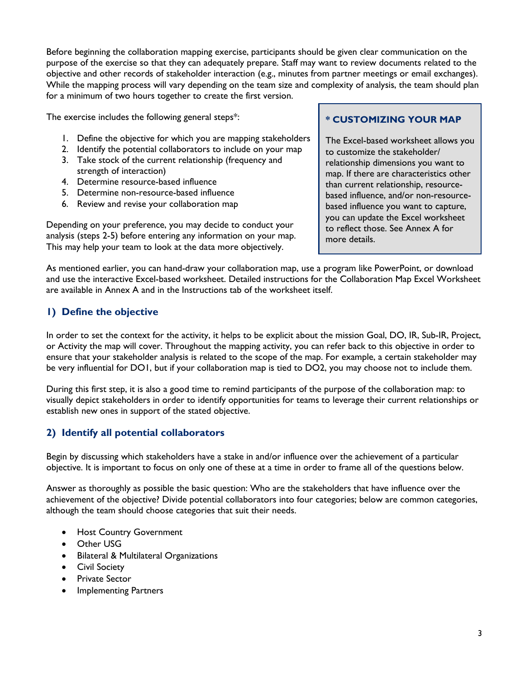Before beginning the collaboration mapping exercise, participants should be given clear communication on the purpose of the exercise so that they can adequately prepare. Staff may want to review documents related to the objective and other records of stakeholder interaction (e.g., minutes from partner meetings or email exchanges). While the mapping process will vary depending on the team size and complexity of analysis, the team should plan for a minimum of two hours together to create the first version.

The exercise includes the following general steps\*:

- 1. Define the objective for which you are mapping stakeholders
- 2. Identify the potential collaborators to include on your map
- 3. Take stock of the current relationship (frequency and strength of interaction)
- 4. Determine resource-based influence
- 5. Determine non-resource-based influence
- 6. Review and revise your collaboration map

Depending on your preference, you may decide to conduct your analysis (steps 2-5) before entering any information on your map. This may help your team to look at the data more objectively.

## **\* CUSTOMIZING YOUR MAP**

The Excel-based worksheet allows you to customize the stakeholder/ relationship dimensions you want to map. If there are characteristics other than current relationship, resourcebased influence, and/or non-resourcebased influence you want to capture, you can update the Excel worksheet to reflect those. See Annex A for more details.

As mentioned earlier, you can hand-draw your collaboration map, use a program like PowerPoint, or download and use the interactive Excel-based worksheet. Detailed instructions for the Collaboration Map Excel Worksheet are available in Annex A and in the Instructions tab of the worksheet itself.

# **1) Define the objective**

In order to set the context for the activity, it helps to be explicit about the mission Goal, DO, IR, Sub-IR, Project, or Activity the map will cover. Throughout the mapping activity, you can refer back to this objective in order to ensure that your stakeholder analysis is related to the scope of the map. For example, a certain stakeholder may be very influential for DO1, but if your collaboration map is tied to DO2, you may choose not to include them.

During this first step, it is also a good time to remind participants of the purpose of the collaboration map: to visually depict stakeholders in order to identify opportunities for teams to leverage their current relationships or establish new ones in support of the stated objective.

# **2) Identify all potential collaborators**

Begin by discussing which stakeholders have a stake in and/or influence over the achievement of a particular objective. It is important to focus on only one of these at a time in order to frame all of the questions below.

Answer as thoroughly as possible the basic question: Who are the stakeholders that have influence over the achievement of the objective? Divide potential collaborators into four categories; below are common categories, although the team should choose categories that suit their needs.

- Host Country Government
- Other USG
- Bilateral & Multilateral Organizations
- Civil Society
- Private Sector
- Implementing Partners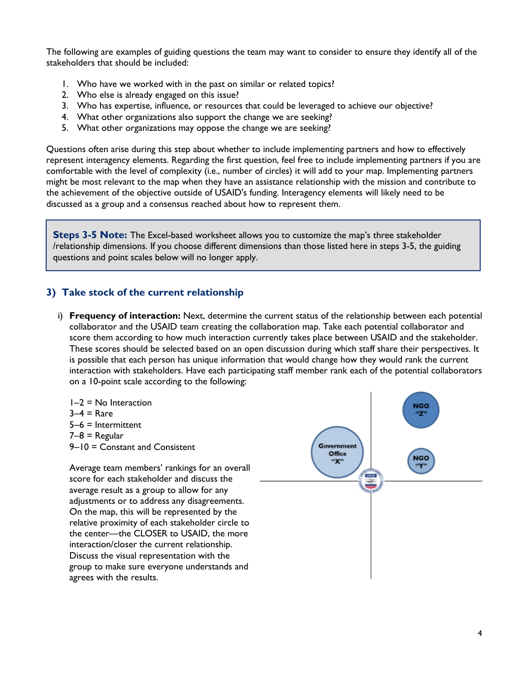The following are examples of guiding questions the team may want to consider to ensure they identify all of the stakeholders that should be included:

- 1. Who have we worked with in the past on similar or related topics?
- 2. Who else is already engaged on this issue?
- 3. Who has expertise, influence, or resources that could be leveraged to achieve our objective?
- 4. What other organizations also support the change we are seeking?
- 5. What other organizations may oppose the change we are seeking?

Questions often arise during this step about whether to include implementing partners and how to effectively represent interagency elements. Regarding the first question, feel free to include implementing partners if you are comfortable with the level of complexity (i.e., number of circles) it will add to your map. Implementing partners might be most relevant to the map when they have an assistance relationship with the mission and contribute to the achievement of the objective outside of USAID's funding. Interagency elements will likely need to be discussed as a group and a consensus reached about how to represent them.

**Steps 3-5 Note:** The Excel-based worksheet allows you to customize the map's three stakeholder /relationship dimensions. If you choose different dimensions than those listed here in steps 3-5, the guiding questions and point scales below will no longer apply.

#### **3) Take stock of the current relationship**

i) **Frequency of interaction:** Next, determine the current status of the relationship between each potential collaborator and the USAID team creating the collaboration map. Take each potential collaborator and score them according to how much interaction currently takes place between USAID and the stakeholder. These scores should be selected based on an open discussion during which staff share their perspectives. It is possible that each person has unique information that would change how they would rank the current interaction with stakeholders. Have each participating staff member rank each of the potential collaborators on a 10-point scale according to the following:

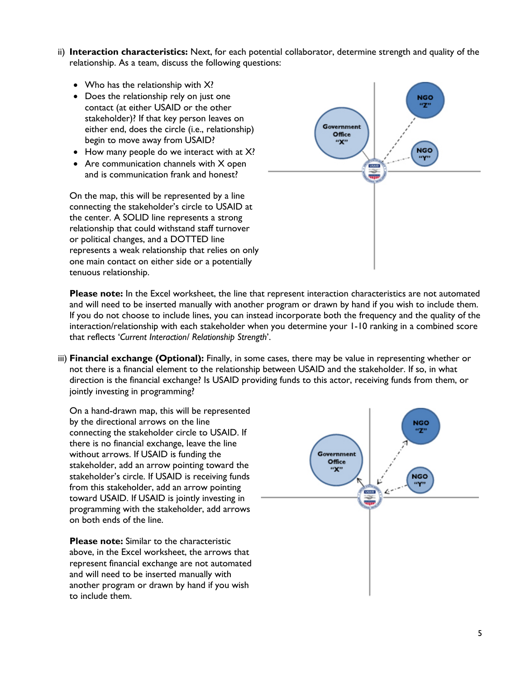- ii) **Interaction characteristics:** Next, for each potential collaborator, determine strength and quality of the relationship. As a team, discuss the following questions:
	- Who has the relationship with X?
	- Does the relationship rely on just one contact (at either USAID or the other stakeholder)? If that key person leaves on either end, does the circle (i.e., relationship) begin to move away from USAID?
	- How many people do we interact with at  $X$ ?
	- Are communication channels with X open and is communication frank and honest?

On the map, this will be represented by a line connecting the stakeholder's circle to USAID at the center. A SOLID line represents a strong relationship that could withstand staff turnover or political changes, and a DOTTED line represents a weak relationship that relies on only one main contact on either side or a potentially tenuous relationship.



**Please note:** In the Excel worksheet, the line that represent interaction characteristics are not automated and will need to be inserted manually with another program or drawn by hand if you wish to include them. If you do not choose to include lines, you can instead incorporate both the frequency and the quality of the interaction/relationship with each stakeholder when you determine your 1-10 ranking in a combined score that reflects '*Current Interaction/ Relationship Strength*'.

iii) **Financial exchange (Optional):** Finally, in some cases, there may be value in representing whether or not there is a financial element to the relationship between USAID and the stakeholder. If so, in what direction is the financial exchange? Is USAID providing funds to this actor, receiving funds from them, or jointly investing in programming?

On a hand-drawn map, this will be represented by the directional arrows on the line connecting the stakeholder circle to USAID. If there is no financial exchange, leave the line without arrows. If USAID is funding the stakeholder, add an arrow pointing toward the stakeholder's circle. If USAID is receiving funds from this stakeholder, add an arrow pointing toward USAID. If USAID is jointly investing in programming with the stakeholder, add arrows on both ends of the line.

**Please note:** Similar to the characteristic above, in the Excel worksheet, the arrows that represent financial exchange are not automated and will need to be inserted manually with another program or drawn by hand if you wish to include them.

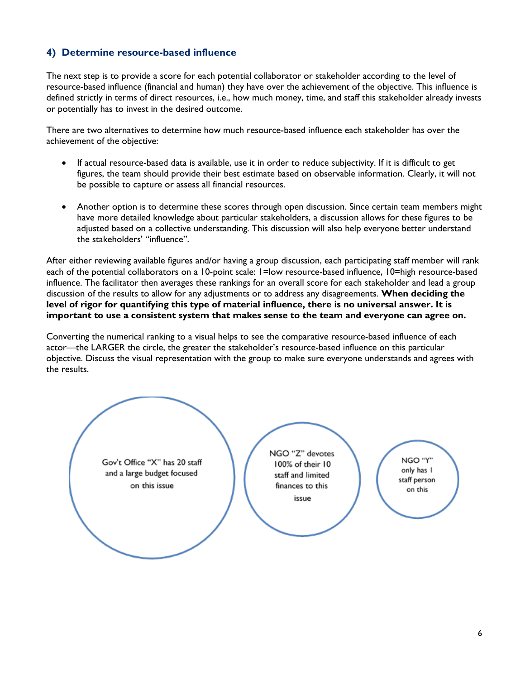## **4) Determine resource-based influence**

The next step is to provide a score for each potential collaborator or stakeholder according to the level of resource-based influence (financial and human) they have over the achievement of the objective. This influence is defined strictly in terms of direct resources, i.e., how much money, time, and staff this stakeholder already invests or potentially has to invest in the desired outcome.

There are two alternatives to determine how much resource-based influence each stakeholder has over the achievement of the objective:

- If actual resource-based data is available, use it in order to reduce subjectivity. If it is difficult to get figures, the team should provide their best estimate based on observable information. Clearly, it will not be possible to capture or assess all financial resources.
- Another option is to determine these scores through open discussion. Since certain team members might have more detailed knowledge about particular stakeholders, a discussion allows for these figures to be adjusted based on a collective understanding. This discussion will also help everyone better understand the stakeholders' "influence".

After either reviewing available figures and/or having a group discussion, each participating staff member will rank each of the potential collaborators on a 10-point scale: 1=low resource-based influence, 10=high resource-based influence. The facilitator then averages these rankings for an overall score for each stakeholder and lead a group discussion of the results to allow for any adjustments or to address any disagreements. **When deciding the level of rigor for quantifying this type of material influence, there is no universal answer. It is important to use a consistent system that makes sense to the team and everyone can agree on.**

Converting the numerical ranking to a visual helps to see the comparative resource-based influence of each actor—the LARGER the circle, the greater the stakeholder's resource-based influence on this particular objective. Discuss the visual representation with the group to make sure everyone understands and agrees with the results.

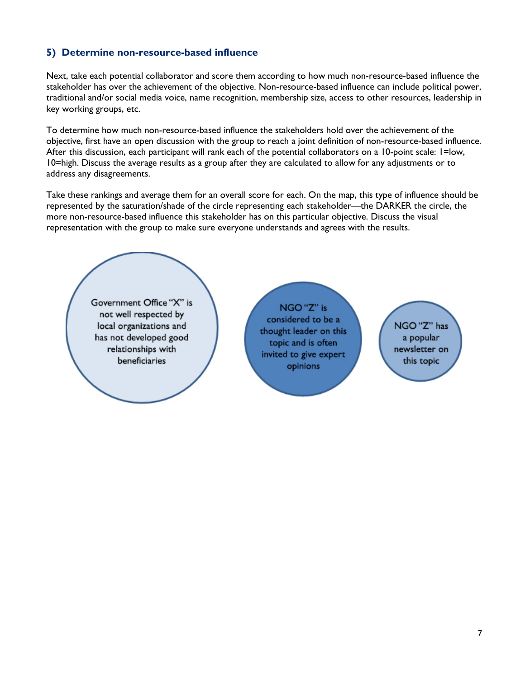## **5) Determine non-resource-based influence**

Next, take each potential collaborator and score them according to how much non-resource-based influence the stakeholder has over the achievement of the objective. Non-resource-based influence can include political power, traditional and/or social media voice, name recognition, membership size, access to other resources, leadership in key working groups, etc.

To determine how much non-resource-based influence the stakeholders hold over the achievement of the objective, first have an open discussion with the group to reach a joint definition of non-resource-based influence. After this discussion, each participant will rank each of the potential collaborators on a 10-point scale: 1=low, 10=high. Discuss the average results as a group after they are calculated to allow for any adjustments or to address any disagreements.

Take these rankings and average them for an overall score for each. On the map, this type of influence should be represented by the saturation/shade of the circle representing each stakeholder—the DARKER the circle, the more non-resource-based influence this stakeholder has on this particular objective. Discuss the visual representation with the group to make sure everyone understands and agrees with the results.



NGO "Z" is considered to be a thought leader on this topic and is often invited to give expert opinions

NGO "Z" has a popular newsletter on this topic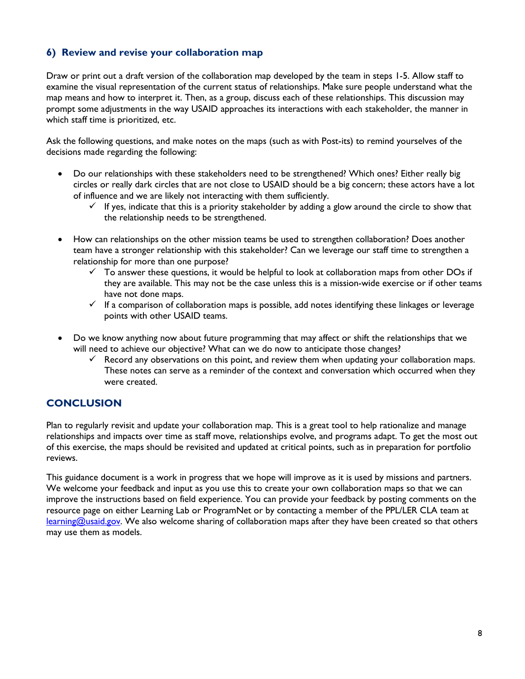## **6) Review and revise your collaboration map**

Draw or print out a draft version of the collaboration map developed by the team in steps 1-5. Allow staff to examine the visual representation of the current status of relationships. Make sure people understand what the map means and how to interpret it. Then, as a group, discuss each of these relationships. This discussion may prompt some adjustments in the way USAID approaches its interactions with each stakeholder, the manner in which staff time is prioritized, etc.

Ask the following questions, and make notes on the maps (such as with Post-its) to remind yourselves of the decisions made regarding the following:

- Do our relationships with these stakeholders need to be strengthened? Which ones? Either really big circles or really dark circles that are not close to USAID should be a big concern; these actors have a lot of influence and we are likely not interacting with them sufficiently.
	- If yes, indicate that this is a priority stakeholder by adding a glow around the circle to show that the relationship needs to be strengthened.
- How can relationships on the other mission teams be used to strengthen collaboration? Does another team have a stronger relationship with this stakeholder? Can we leverage our staff time to strengthen a relationship for more than one purpose?
	- $\checkmark$  To answer these questions, it would be helpful to look at collaboration maps from other DOs if they are available. This may not be the case unless this is a mission-wide exercise or if other teams have not done maps.
	- ✓ If a comparison of collaboration maps is possible, add notes identifying these linkages or leverage points with other USAID teams.
- Do we know anything now about future programming that may affect or shift the relationships that we will need to achieve our objective? What can we do now to anticipate those changes?
	- $\checkmark$  Record any observations on this point, and review them when updating your collaboration maps. These notes can serve as a reminder of the context and conversation which occurred when they were created.

# **CONCLUSION**

Plan to regularly revisit and update your collaboration map. This is a great tool to help rationalize and manage relationships and impacts over time as staff move, relationships evolve, and programs adapt. To get the most out of this exercise, the maps should be revisited and updated at critical points, such as in preparation for portfolio reviews.

This guidance document is a work in progress that we hope will improve as it is used by missions and partners. We welcome your feedback and input as you use this to create your own collaboration maps so that we can improve the instructions based on field experience. You can provide your feedback by posting comments on the resource page on either Learning Lab or ProgramNet or by contacting a member of the PPL/LER CLA team at [learning@usaid.gov.](mailto:learning@usaid.gov) We also welcome sharing of collaboration maps after they have been created so that others may use them as models.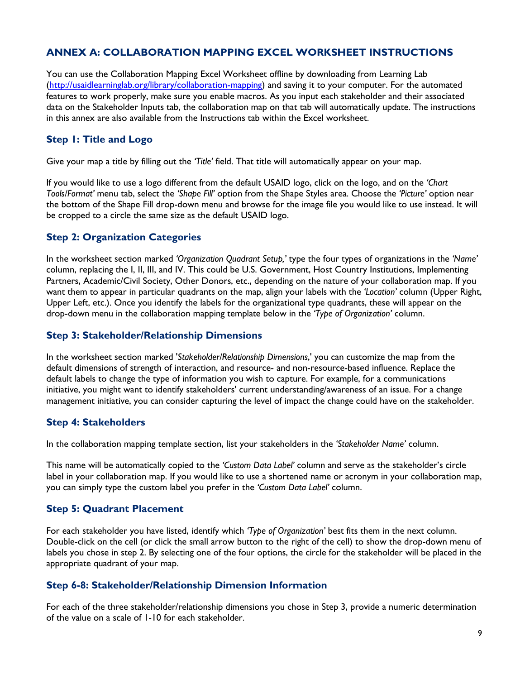# **ANNEX A: COLLABORATION MAPPING EXCEL WORKSHEET INSTRUCTIONS**

You can use the Collaboration Mapping Excel Worksheet offline by downloading from Learning Lab [\(http://usaidlearninglab.org/library/collaboration-mapping\)](http://usaidlearninglab.org/library/collaboration-mapping) and saving it to your computer. For the automated features to work properly, make sure you enable macros. As you input each stakeholder and their associated data on the Stakeholder Inputs tab, the collaboration map on that tab will automatically update. The instructions in this annex are also available from the Instructions tab within the Excel worksheet.

#### **Step 1: Title and Logo**

Give your map a title by filling out the *'Title'* field. That title will automatically appear on your map.

If you would like to use a logo different from the default USAID logo, click on the logo, and on the *'Chart Tools/Format'* menu tab, select the *'Shape Fill'* option from the Shape Styles area. Choose the *'Picture'* option near the bottom of the Shape Fill drop-down menu and browse for the image file you would like to use instead. It will be cropped to a circle the same size as the default USAID logo.

#### **Step 2: Organization Categories**

In the worksheet section marked *'Organization Quadrant Setup,'* type the four types of organizations in the *'Name'* column, replacing the I, II, III, and IV. This could be U.S. Government, Host Country Institutions, Implementing Partners, Academic/Civil Society, Other Donors, etc., depending on the nature of your collaboration map. If you want them to appear in particular quadrants on the map, align your labels with the *'Location'* column (Upper Right, Upper Left, etc.). Once you identify the labels for the organizational type quadrants, these will appear on the drop-down menu in the collaboration mapping template below in the *'Type of Organization'* column.

#### **Step 3: Stakeholder/Relationship Dimensions**

In the worksheet section marked '*Stakeholder/Relationship Dimensions*,' you can customize the map from the default dimensions of strength of interaction, and resource- and non-resource-based influence. Replace the default labels to change the type of information you wish to capture. For example, for a communications initiative, you might want to identify stakeholders' current understanding/awareness of an issue. For a change management initiative, you can consider capturing the level of impact the change could have on the stakeholder.

#### **Step 4: Stakeholders**

In the collaboration mapping template section, list your stakeholders in the *'Stakeholder Name'* column.

This name will be automatically copied to the *'Custom Data Label'* column and serve as the stakeholder's circle label in your collaboration map. If you would like to use a shortened name or acronym in your collaboration map, you can simply type the custom label you prefer in the *'Custom Data Label'* column.

## **Step 5: Quadrant Placement**

For each stakeholder you have listed, identify which *'Type of Organization'* best fits them in the next column. Double-click on the cell (or click the small arrow button to the right of the cell) to show the drop-down menu of labels you chose in step 2. By selecting one of the four options, the circle for the stakeholder will be placed in the appropriate quadrant of your map.

#### **Step 6-8: Stakeholder/Relationship Dimension Information**

For each of the three stakeholder/relationship dimensions you chose in Step 3, provide a numeric determination of the value on a scale of 1-10 for each stakeholder.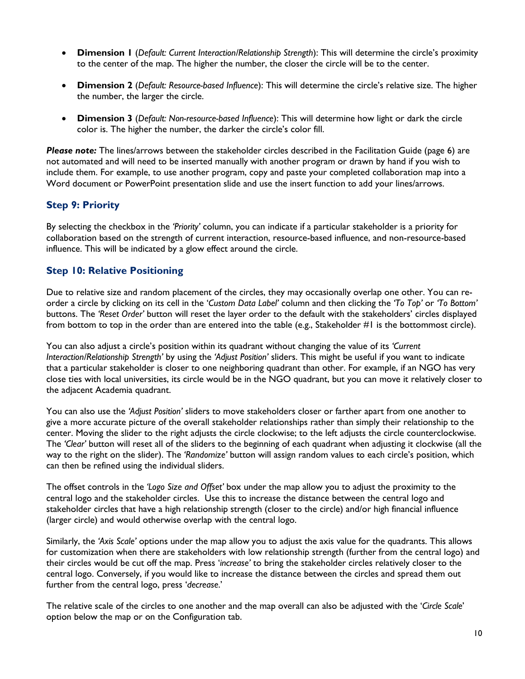- **Dimension 1** (*Default: Current Interaction/Relationship Strength*): This will determine the circle's proximity to the center of the map. The higher the number, the closer the circle will be to the center.
- **Dimension 2** (*Default: Resource-based Influence*): This will determine the circle's relative size. The higher the number, the larger the circle.
- **Dimension 3** (*Default: Non-resource-based Influence*): This will determine how light or dark the circle color is. The higher the number, the darker the circle's color fill.

*Please note:* The lines/arrows between the stakeholder circles described in the Facilitation Guide (page 6) are not automated and will need to be inserted manually with another program or drawn by hand if you wish to include them. For example, to use another program, copy and paste your completed collaboration map into a Word document or PowerPoint presentation slide and use the insert function to add your lines/arrows.

#### **Step 9: Priority**

By selecting the checkbox in the *'Priority'* column, you can indicate if a particular stakeholder is a priority for collaboration based on the strength of current interaction, resource-based influence, and non-resource-based influence. This will be indicated by a glow effect around the circle.

#### **Step 10: Relative Positioning**

Due to relative size and random placement of the circles, they may occasionally overlap one other. You can reorder a circle by clicking on its cell in the '*Custom Data Label'* column and then clicking the *'To Top'* or *'To Bottom'* buttons. The *'Reset Order'* button will reset the layer order to the default with the stakeholders' circles displayed from bottom to top in the order than are entered into the table (e.g., Stakeholder #1 is the bottommost circle).

You can also adjust a circle's position within its quadrant without changing the value of its *'Current Interaction/Relationship Strength'* by using the *'Adjust Position'* sliders. This might be useful if you want to indicate that a particular stakeholder is closer to one neighboring quadrant than other. For example, if an NGO has very close ties with local universities, its circle would be in the NGO quadrant, but you can move it relatively closer to the adjacent Academia quadrant.

You can also use the *'Adjust Position'* sliders to move stakeholders closer or farther apart from one another to give a more accurate picture of the overall stakeholder relationships rather than simply their relationship to the center. Moving the slider to the right adjusts the circle clockwise; to the left adjusts the circle counterclockwise. The *'Clear'* button will reset all of the sliders to the beginning of each quadrant when adjusting it clockwise (all the way to the right on the slider). The *'Randomize'* button will assign random values to each circle's position, which can then be refined using the individual sliders.

The offset controls in the *'Logo Size and Offset'* box under the map allow you to adjust the proximity to the central logo and the stakeholder circles. Use this to increase the distance between the central logo and stakeholder circles that have a high relationship strength (closer to the circle) and/or high financial influence (larger circle) and would otherwise overlap with the central logo.

Similarly, the *'Axis Scale'* options under the map allow you to adjust the axis value for the quadrants. This allows for customization when there are stakeholders with low relationship strength (further from the central logo) and their circles would be cut off the map. Press '*increase'* to bring the stakeholder circles relatively closer to the central logo. Conversely, if you would like to increase the distance between the circles and spread them out further from the central logo, press '*decrease*.'

The relative scale of the circles to one another and the map overall can also be adjusted with the '*Circle Scale*' option below the map or on the Configuration tab.